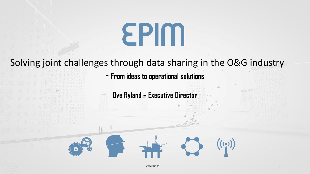# EPIM

# Solving joint challenges through data sharing in the O&G industry

**- From ideas to operational solutions**

**Ove Ryland – Executive Director**

1

 $((\cdots))$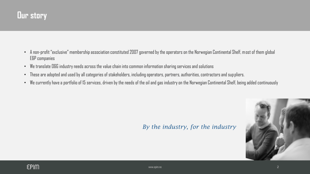- A non-profit "exclusive" membership association constituted 2007 governed by the operators on the Norwegian Continental Shelf, most of them global E&P companies
- We translate O&G industry needs across the value chain into common information sharing services and solutions
- These are adopted and used by all categories of stakeholders, including operators, partners, authorities, contractors and suppliers.
- We currently have a portfolio of 15 services, driven by the needs of the oil and gas industry on the Norwegian Continental Shelf, being added continuously

#### *By the industry, for the industry*

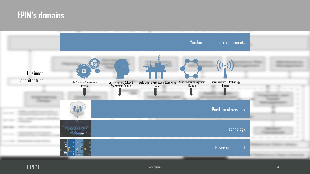# **EPIM's domains**

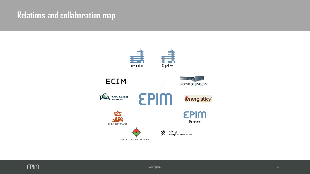# **Relations and collaboration map**

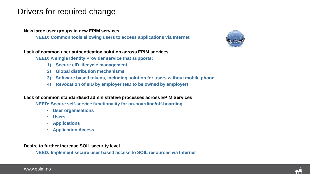## Drivers for required change

#### **New large user groups in new EPIM services**

**NEED: Common tools allowing users to access applications via Internet**

![](_page_4_Picture_3.jpeg)

#### **Lack of common user authentication solution across EPIM services**

**NEED: A single Identity Provider service that supports:**

- **1) Secure eID lifecycle management**
- **2) Global distribution mechanisms**
- **3) Software based tokens, including solution for users without mobile phone**
- **4) Revocation of eID by employer (eID to be owned by employer)**

#### **Lack of common standardised administrative processes across EPIM Services**

**NEED: Secure self-service functionality for on-boarding/off-boarding** 

- **User organisations**
- **Users**
- **Applications**
- **Application Access**

**Desire to further increase SOIL security level**

**NEED: Implement secure user based access to SOIL resources via Internet**

![](_page_4_Picture_19.jpeg)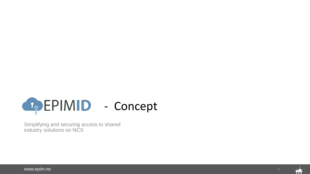![](_page_5_Picture_0.jpeg)

Simplifying and securing access to shared industry solutions on NCS

![](_page_5_Picture_3.jpeg)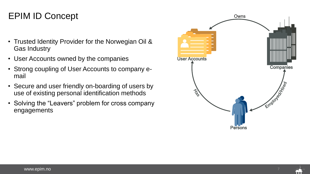- Trusted Identity Provider for the Norwegian Oil & Gas Industry
- User Accounts owned by the companies
- Strong coupling of User Accounts to company email
- Secure and user friendly on-boarding of users by use of existing personal identification methods
- Solving the "Leavers" problem for cross company engagements

![](_page_6_Figure_6.jpeg)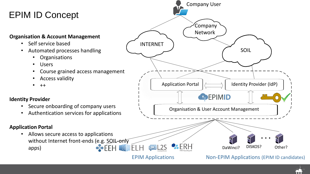# EPIM ID Concept

#### **Organisation & Account Management**

- Self service based
- Automated processes handling
	- Organisations
	- Users
	- Course grained access management
	- Access validity
	- ++

#### **Identity Provider**

- Secure onboarding of company users
- Authentication services for applications

#### **Application Portal**

• Allows secure access to applications without Internet front-ends (e.g. SOIL-only  $\div$ EEH apps)

![](_page_7_Figure_14.jpeg)

EPIM Applications

#### Non-EPIM Applications (EPIM ID candidates)

![](_page_7_Picture_17.jpeg)